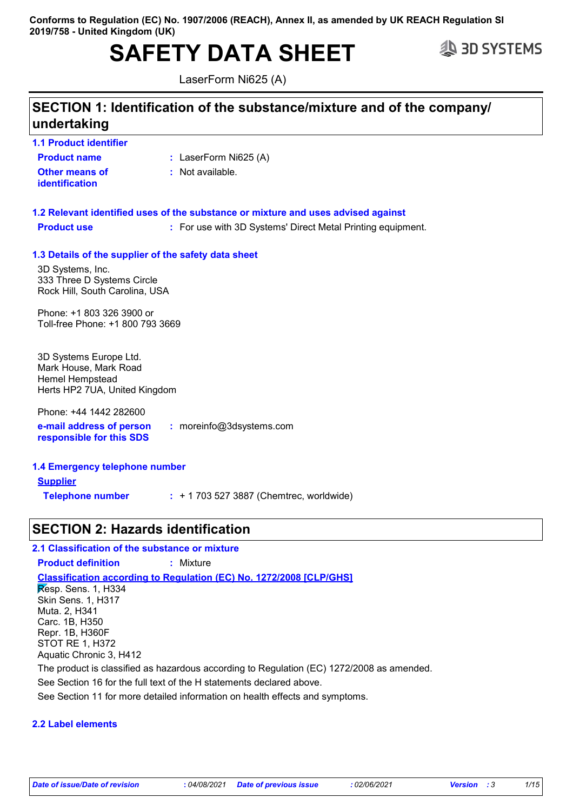# **SAFETY DATA SHEET SAFETY**

LaserForm Ni625 (A)

### **SECTION 1: Identification of the substance/mixture and of the company/ undertaking**

**1.1 Product identifier**

- **Product name**
- **:** LaserForm Ni625 (A)
- **Other means of identification**
- : Not available.
- **1.3 Details of the supplier of the safety data sheet 1.2 Relevant identified uses of the substance or mixture and uses advised against Product use <b>:** For use with 3D Systems' Direct Metal Printing equipment.

3D Systems, Inc. 333 Three D Systems Circle Rock Hill, South Carolina, USA

Phone: +1 803 326 3900 or Toll-free Phone: +1 800 793 3669

3D Systems Europe Ltd. Mark House, Mark Road Hemel Hempstead Herts HP2 7UA, United Kingdom

**e-mail address of person responsible for this SDS :** moreinfo@3dsystems.com Phone: +44 1442 282600

**1.4 Emergency telephone number Supplier Telephone number :** + 1 703 527 3887 (Chemtrec, worldwide)

### **SECTION 2: Hazards identification**

### **2.1 Classification of the substance or mixture**

**Product definition :** Mixture

### **Classification according to Regulation (EC) No. 1272/2008 [CLP/GHS]**

Resp. Sens. 1, H334 Skin Sens. 1, H317 Muta. 2, H341 Carc. 1B, H350 Repr. 1B, H360F STOT RE 1, H372 Aquatic Chronic 3, H412

The product is classified as hazardous according to Regulation (EC) 1272/2008 as amended.

See Section 16 for the full text of the H statements declared above.

See Section 11 for more detailed information on health effects and symptoms.

### **2.2 Label elements**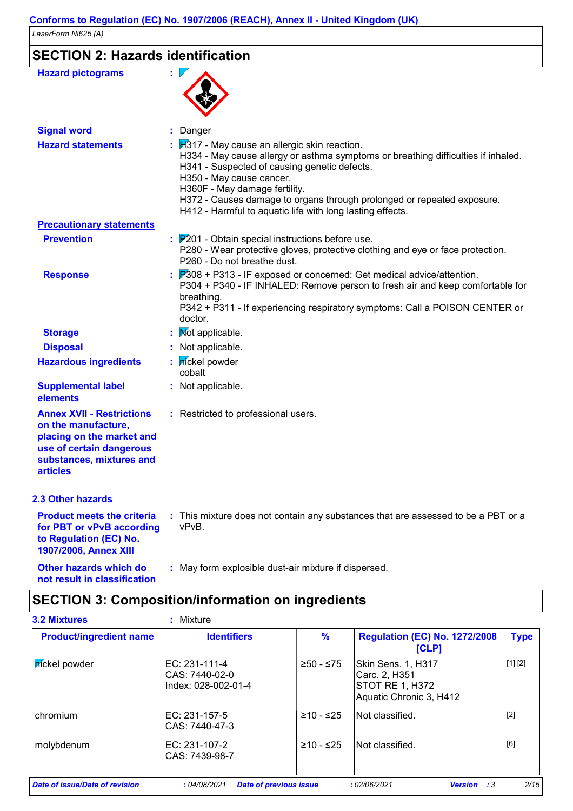# **SECTION 2: Hazards identification**

| <b>Hazard pictograms</b>                                                                                                                                        |                                                                                                                                                                                                                                                                                                                                                                                        |
|-----------------------------------------------------------------------------------------------------------------------------------------------------------------|----------------------------------------------------------------------------------------------------------------------------------------------------------------------------------------------------------------------------------------------------------------------------------------------------------------------------------------------------------------------------------------|
| <b>Signal word</b>                                                                                                                                              | : Danger                                                                                                                                                                                                                                                                                                                                                                               |
| <b>Hazard statements</b>                                                                                                                                        | $H317$ - May cause an allergic skin reaction.<br>H334 - May cause allergy or asthma symptoms or breathing difficulties if inhaled.<br>H341 - Suspected of causing genetic defects.<br>H350 - May cause cancer.<br>H360F - May damage fertility.<br>H372 - Causes damage to organs through prolonged or repeated exposure.<br>H412 - Harmful to aquatic life with long lasting effects. |
| <b>Precautionary statements</b>                                                                                                                                 |                                                                                                                                                                                                                                                                                                                                                                                        |
| <b>Prevention</b>                                                                                                                                               | $\therefore$ $\mathbb{P}201$ - Obtain special instructions before use.<br>P280 - Wear protective gloves, protective clothing and eye or face protection.<br>P260 - Do not breathe dust.                                                                                                                                                                                                |
| <b>Response</b>                                                                                                                                                 | $P308 + P313$ - IF exposed or concerned: Get medical advice/attention.<br>P304 + P340 - IF INHALED: Remove person to fresh air and keep comfortable for<br>breathing.<br>P342 + P311 - If experiencing respiratory symptoms: Call a POISON CENTER or                                                                                                                                   |
|                                                                                                                                                                 | doctor.                                                                                                                                                                                                                                                                                                                                                                                |
| <b>Storage</b>                                                                                                                                                  | Not applicable.                                                                                                                                                                                                                                                                                                                                                                        |
| <b>Disposal</b>                                                                                                                                                 | : Not applicable.                                                                                                                                                                                                                                                                                                                                                                      |
| <b>Hazardous ingredients</b>                                                                                                                                    | pickel powder<br>cobalt                                                                                                                                                                                                                                                                                                                                                                |
| <b>Supplemental label</b><br>elements                                                                                                                           | : Not applicable.                                                                                                                                                                                                                                                                                                                                                                      |
| <b>Annex XVII - Restrictions</b><br>on the manufacture,<br>placing on the market and<br>use of certain dangerous<br>substances, mixtures and<br><b>articles</b> | : Restricted to professional users.                                                                                                                                                                                                                                                                                                                                                    |
| 2.3 Other hazards                                                                                                                                               |                                                                                                                                                                                                                                                                                                                                                                                        |
| <b>Product meets the criteria</b><br>for PBT or vPvB according<br>to Regulation (EC) No.<br>1907/2006, Annex XIII                                               | : This mixture does not contain any substances that are assessed to be a PBT or a<br>vPvB.                                                                                                                                                                                                                                                                                             |
| Other hazards which do                                                                                                                                          | : May form explosible dust-air mixture if dispersed.                                                                                                                                                                                                                                                                                                                                   |

**not result in classification**

## **SECTION 3: Composition/information on ingredients**

| <b>Product/ingredient name</b> | <b>Identifiers</b>                                       | $\%$        | <b>Regulation (EC) No. 1272/2008</b><br>[CLP]                                     | <b>Type</b> |
|--------------------------------|----------------------------------------------------------|-------------|-----------------------------------------------------------------------------------|-------------|
| píckel powder                  | EC: $231-111-4$<br>CAS: 7440-02-0<br>Index: 028-002-01-4 | $≥50 - ≤75$ | Skin Sens. 1, H317<br>Carc. 2, H351<br>STOT RE 1, H372<br>Aquatic Chronic 3, H412 | [1] [2]     |
| chromium                       | EC: 231-157-5<br>CAS: 7440-47-3                          | ≥10 - ≤25   | Not classified.                                                                   | $[2]$       |
| molybdenum                     | EC: 231-107-2<br>CAS: 7439-98-7                          | $≥10 - ≤25$ | Not classified.                                                                   | [6]         |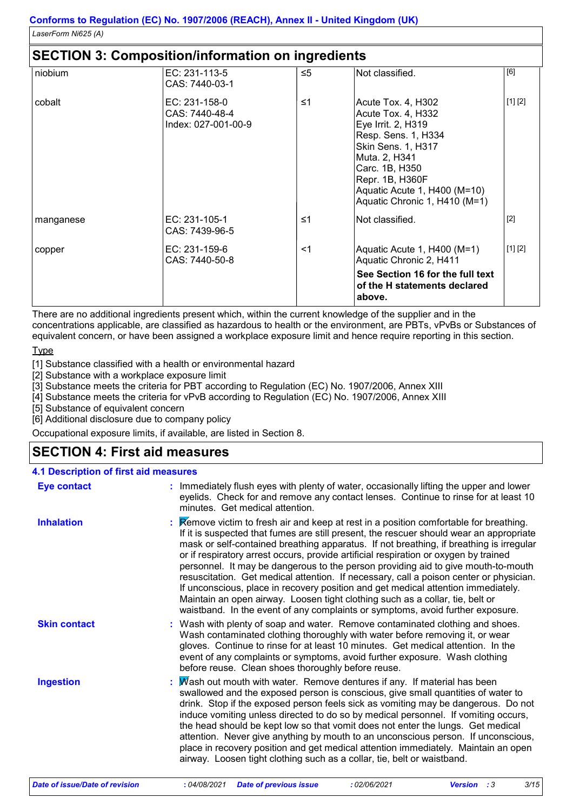### **SECTION 3: Composition/information on ingredients**

|           | <u>ULU NUN J. UUNINUSINUMMINUMMUUN UN MIGHEMEME</u>    |          |                                                                                                                                                                                                                                    |         |
|-----------|--------------------------------------------------------|----------|------------------------------------------------------------------------------------------------------------------------------------------------------------------------------------------------------------------------------------|---------|
| niobium   | EC: 231-113-5<br>CAS: 7440-03-1                        | ≤5       | Not classified.                                                                                                                                                                                                                    | [6]     |
| cobalt    | EC: 231-158-0<br>CAS: 7440-48-4<br>Index: 027-001-00-9 | ≤1       | Acute Tox. 4, H302<br>Acute Tox. 4, H332<br>Eye Irrit. 2, H319<br>Resp. Sens. 1, H334<br>Skin Sens. 1, H317<br>Muta. 2, H341<br>Carc. 1B, H350<br>Repr. 1B, H360F<br>Aquatic Acute 1, H400 (M=10)<br>Aquatic Chronic 1, H410 (M=1) | [1] [2] |
| manganese | EC: 231-105-1<br>CAS: 7439-96-5                        | $\leq 1$ | Not classified.                                                                                                                                                                                                                    | $[2]$   |
| copper    | EC: 231-159-6<br>CAS: 7440-50-8                        | $<$ 1    | Aquatic Acute 1, H400 (M=1)<br>Aquatic Chronic 2, H411                                                                                                                                                                             | [1] [2] |
|           |                                                        |          | See Section 16 for the full text<br>of the H statements declared<br>above.                                                                                                                                                         |         |

There are no additional ingredients present which, within the current knowledge of the supplier and in the concentrations applicable, are classified as hazardous to health or the environment, are PBTs, vPvBs or Substances of equivalent concern, or have been assigned a workplace exposure limit and hence require reporting in this section.

**Type** 

[1] Substance classified with a health or environmental hazard

[2] Substance with a workplace exposure limit

[3] Substance meets the criteria for PBT according to Regulation (EC) No. 1907/2006, Annex XIII

[4] Substance meets the criteria for vPvB according to Regulation (EC) No. 1907/2006, Annex XIII

[5] Substance of equivalent concern

[6] Additional disclosure due to company policy

Occupational exposure limits, if available, are listed in Section 8.

### **SECTION 4: First aid measures**

### **4.1 Description of first aid measures**

| <b>Eye contact</b>  | : Immediately flush eyes with plenty of water, occasionally lifting the upper and lower<br>eyelids. Check for and remove any contact lenses. Continue to rinse for at least 10<br>minutes. Get medical attention.                                                                                                                                                                                                                                                                                                                                                                                                                                                                                                                                                                                           |
|---------------------|-------------------------------------------------------------------------------------------------------------------------------------------------------------------------------------------------------------------------------------------------------------------------------------------------------------------------------------------------------------------------------------------------------------------------------------------------------------------------------------------------------------------------------------------------------------------------------------------------------------------------------------------------------------------------------------------------------------------------------------------------------------------------------------------------------------|
| <b>Inhalation</b>   | : Remove victim to fresh air and keep at rest in a position comfortable for breathing.<br>If it is suspected that fumes are still present, the rescuer should wear an appropriate<br>mask or self-contained breathing apparatus. If not breathing, if breathing is irregular<br>or if respiratory arrest occurs, provide artificial respiration or oxygen by trained<br>personnel. It may be dangerous to the person providing aid to give mouth-to-mouth<br>resuscitation. Get medical attention. If necessary, call a poison center or physician.<br>If unconscious, place in recovery position and get medical attention immediately.<br>Maintain an open airway. Loosen tight clothing such as a collar, tie, belt or<br>waistband. In the event of any complaints or symptoms, avoid further exposure. |
| <b>Skin contact</b> | : Wash with plenty of soap and water. Remove contaminated clothing and shoes.<br>Wash contaminated clothing thoroughly with water before removing it, or wear<br>gloves. Continue to rinse for at least 10 minutes. Get medical attention. In the<br>event of any complaints or symptoms, avoid further exposure. Wash clothing<br>before reuse. Clean shoes thoroughly before reuse.                                                                                                                                                                                                                                                                                                                                                                                                                       |
| <b>Ingestion</b>    | : $M$ ash out mouth with water. Remove dentures if any. If material has been<br>swallowed and the exposed person is conscious, give small quantities of water to<br>drink. Stop if the exposed person feels sick as vomiting may be dangerous. Do not<br>induce vomiting unless directed to do so by medical personnel. If vomiting occurs,<br>the head should be kept low so that vomit does not enter the lungs. Get medical<br>attention. Never give anything by mouth to an unconscious person. If unconscious,<br>place in recovery position and get medical attention immediately. Maintain an open<br>airway. Loosen tight clothing such as a collar, tie, belt or waistband.                                                                                                                        |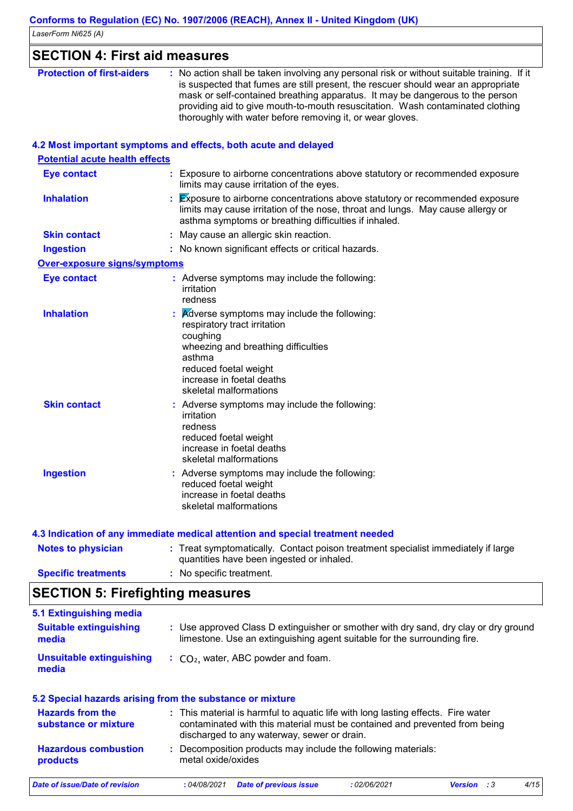| <b>Protection of first-aiders</b>     | : No action shall be taken involving any personal risk or without suitable training. If it<br>is suspected that fumes are still present, the rescuer should wear an appropriate<br>mask or self-contained breathing apparatus. It may be dangerous to the person<br>providing aid to give mouth-to-mouth resuscitation. Wash contaminated clothing<br>thoroughly with water before removing it, or wear gloves. |
|---------------------------------------|-----------------------------------------------------------------------------------------------------------------------------------------------------------------------------------------------------------------------------------------------------------------------------------------------------------------------------------------------------------------------------------------------------------------|
|                                       | 4.2 Most important symptoms and effects, both acute and delayed                                                                                                                                                                                                                                                                                                                                                 |
| <b>Potential acute health effects</b> |                                                                                                                                                                                                                                                                                                                                                                                                                 |
| <b>Eye contact</b>                    | Exposure to airborne concentrations above statutory or recommended exposure<br>limits may cause irritation of the eyes.                                                                                                                                                                                                                                                                                         |
| <b>Inhalation</b>                     | $\cancel{\text{Ex}}$ posure to airborne concentrations above statutory or recommended exposure<br>limits may cause irritation of the nose, throat and lungs. May cause allergy or<br>asthma symptoms or breathing difficulties if inhaled.                                                                                                                                                                      |
| <b>Skin contact</b>                   | May cause an allergic skin reaction.                                                                                                                                                                                                                                                                                                                                                                            |
| <b>Ingestion</b>                      | : No known significant effects or critical hazards.                                                                                                                                                                                                                                                                                                                                                             |
| <b>Over-exposure signs/symptoms</b>   |                                                                                                                                                                                                                                                                                                                                                                                                                 |
| <b>Eye contact</b>                    | : Adverse symptoms may include the following:<br>irritation<br>redness                                                                                                                                                                                                                                                                                                                                          |
| <b>Inhalation</b>                     | <b>A</b> dverse symptoms may include the following:<br>respiratory tract irritation<br>coughing<br>wheezing and breathing difficulties<br>asthma<br>reduced foetal weight<br>increase in foetal deaths<br>skeletal malformations                                                                                                                                                                                |
| <b>Skin contact</b>                   | : Adverse symptoms may include the following:<br>irritation<br>redness<br>reduced foetal weight<br>increase in foetal deaths<br>skeletal malformations                                                                                                                                                                                                                                                          |
| <b>Ingestion</b>                      | : Adverse symptoms may include the following:<br>reduced foetal weight<br>increase in foetal deaths<br>skeletal malformations                                                                                                                                                                                                                                                                                   |
|                                       | 4.3 Indication of any immediate medical attention and special treatment needed                                                                                                                                                                                                                                                                                                                                  |
| <b>Notes to physician</b>             | : Treat symptomatically. Contact poison treatment specialist immediately if large<br>quantities have been ingested or inhaled.                                                                                                                                                                                                                                                                                  |

#### **Specific treatments :** No specific treatment. **SECTION 5: Firefighting measures**

| 5.1 Extinguishing media                |                                                                                                                                                                  |
|----------------------------------------|------------------------------------------------------------------------------------------------------------------------------------------------------------------|
| <b>Suitable extinguishing</b><br>media | : Use approved Class D extinguisher or smother with dry sand, dry clay or dry ground<br>limestone. Use an extinguishing agent suitable for the surrounding fire. |
| Unsuitable extinguishing<br>media      | $\therefore$ CO <sub>2</sub> , water, ABC powder and foam.                                                                                                       |

| 5.2 Special hazards arising from the substance or mixture |                    |                                                                                                                                                                                                               |             |                    |      |  |  |
|-----------------------------------------------------------|--------------------|---------------------------------------------------------------------------------------------------------------------------------------------------------------------------------------------------------------|-------------|--------------------|------|--|--|
| <b>Hazards from the</b><br>substance or mixture           |                    | : This material is harmful to aquatic life with long lasting effects. Fire water<br>contaminated with this material must be contained and prevented from being<br>discharged to any waterway, sewer or drain. |             |                    |      |  |  |
| <b>Hazardous combustion</b><br>products                   | metal oxide/oxides | : Decomposition products may include the following materials:                                                                                                                                                 |             |                    |      |  |  |
| <b>Date of issue/Date of revision</b>                     | : 04/08/2021       | <b>Date of previous issue</b>                                                                                                                                                                                 | :02/06/2021 | <b>Version</b> : 3 | 4/15 |  |  |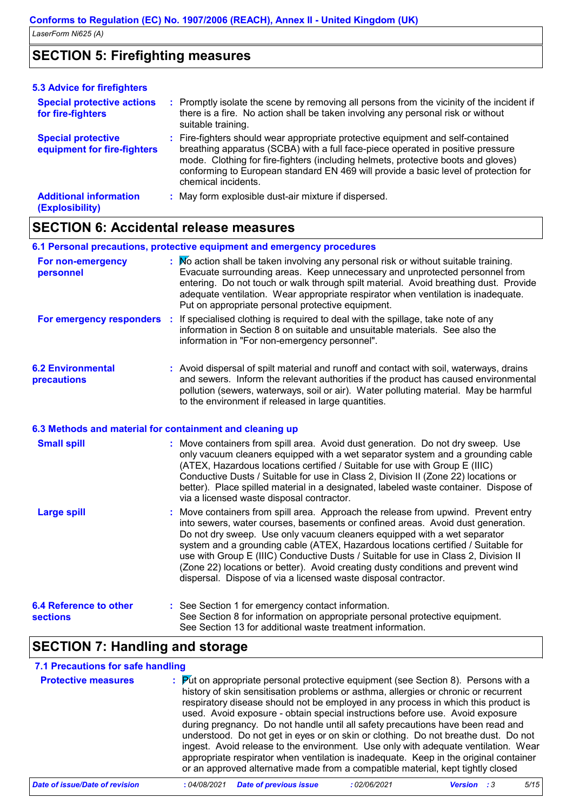### **SECTION 5: Firefighting measures**

| <b>5.3 Advice for firefighters</b>                       |                                                                                                                                                                                                                                                                                                                                                                       |
|----------------------------------------------------------|-----------------------------------------------------------------------------------------------------------------------------------------------------------------------------------------------------------------------------------------------------------------------------------------------------------------------------------------------------------------------|
| <b>Special protective actions</b><br>for fire-fighters   | : Promptly isolate the scene by removing all persons from the vicinity of the incident if<br>there is a fire. No action shall be taken involving any personal risk or without<br>suitable training.                                                                                                                                                                   |
| <b>Special protective</b><br>equipment for fire-fighters | : Fire-fighters should wear appropriate protective equipment and self-contained<br>breathing apparatus (SCBA) with a full face-piece operated in positive pressure<br>mode. Clothing for fire-fighters (including helmets, protective boots and gloves)<br>conforming to European standard EN 469 will provide a basic level of protection for<br>chemical incidents. |
| <b>Additional information</b><br>(Explosibility)         | : May form explosible dust-air mixture if dispersed.                                                                                                                                                                                                                                                                                                                  |

### **SECTION 6: Accidental release measures**

|                                                | 6.1 Personal precautions, protective equipment and emergency procedures                                                                                                                                                                                                                                                                                                                               |
|------------------------------------------------|-------------------------------------------------------------------------------------------------------------------------------------------------------------------------------------------------------------------------------------------------------------------------------------------------------------------------------------------------------------------------------------------------------|
| For non-emergency<br>personnel                 | : No action shall be taken involving any personal risk or without suitable training.<br>Evacuate surrounding areas. Keep unnecessary and unprotected personnel from<br>entering. Do not touch or walk through spilt material. Avoid breathing dust. Provide<br>adequate ventilation. Wear appropriate respirator when ventilation is inadequate.<br>Put on appropriate personal protective equipment. |
| For emergency responders :                     | If specialised clothing is required to deal with the spillage, take note of any<br>information in Section 8 on suitable and unsuitable materials. See also the<br>information in "For non-emergency personnel".                                                                                                                                                                                       |
| <b>6.2 Environmental</b><br><b>precautions</b> | : Avoid dispersal of spilt material and runoff and contact with soil, waterways, drains<br>and sewers. Inform the relevant authorities if the product has caused environmental<br>pollution (sewers, waterways, soil or air). Water polluting material. May be harmful<br>to the environment if released in large quantities.                                                                         |

#### **6.3 Methods and material for containment and cleaning up**

| <b>Small spill</b>                               | : Move containers from spill area. Avoid dust generation. Do not dry sweep. Use<br>only vacuum cleaners equipped with a wet separator system and a grounding cable<br>(ATEX, Hazardous locations certified / Suitable for use with Group E (IIIC)<br>Conductive Dusts / Suitable for use in Class 2, Division II (Zone 22) locations or<br>better). Place spilled material in a designated, labeled waste container. Dispose of<br>via a licensed waste disposal contractor.                                                                                                        |
|--------------------------------------------------|-------------------------------------------------------------------------------------------------------------------------------------------------------------------------------------------------------------------------------------------------------------------------------------------------------------------------------------------------------------------------------------------------------------------------------------------------------------------------------------------------------------------------------------------------------------------------------------|
| <b>Large spill</b>                               | : Move containers from spill area. Approach the release from upwind. Prevent entry<br>into sewers, water courses, basements or confined areas. Avoid dust generation.<br>Do not dry sweep. Use only vacuum cleaners equipped with a wet separator<br>system and a grounding cable (ATEX, Hazardous locations certified / Suitable for<br>use with Group E (IIIC) Conductive Dusts / Suitable for use in Class 2, Division II<br>(Zone 22) locations or better). Avoid creating dusty conditions and prevent wind<br>dispersal. Dispose of via a licensed waste disposal contractor. |
| <b>6.4 Reference to other</b><br><b>sections</b> | : See Section 1 for emergency contact information.<br>See Section 8 for information on appropriate personal protective equipment.<br>See Section 13 for additional waste treatment information.                                                                                                                                                                                                                                                                                                                                                                                     |

### **SECTION 7: Handling and storage**

### **7.1 Precautions for safe handling**

| <b>Protective measures</b> | $\frac{1}{2}$ Put on appropriate personal protective equipment (see Section 8). Persons with a<br>history of skin sensitisation problems or asthma, allergies or chronic or recurrent<br>respiratory disease should not be employed in any process in which this product is<br>used. Avoid exposure - obtain special instructions before use. Avoid exposure<br>during pregnancy. Do not handle until all safety precautions have been read and<br>understood. Do not get in eyes or on skin or clothing. Do not breathe dust. Do not<br>ingest. Avoid release to the environment. Use only with adequate ventilation. Wear<br>appropriate respirator when ventilation is inadequate. Keep in the original container<br>or an approved alternative made from a compatible material, kept tightly closed |
|----------------------------|---------------------------------------------------------------------------------------------------------------------------------------------------------------------------------------------------------------------------------------------------------------------------------------------------------------------------------------------------------------------------------------------------------------------------------------------------------------------------------------------------------------------------------------------------------------------------------------------------------------------------------------------------------------------------------------------------------------------------------------------------------------------------------------------------------|
|----------------------------|---------------------------------------------------------------------------------------------------------------------------------------------------------------------------------------------------------------------------------------------------------------------------------------------------------------------------------------------------------------------------------------------------------------------------------------------------------------------------------------------------------------------------------------------------------------------------------------------------------------------------------------------------------------------------------------------------------------------------------------------------------------------------------------------------------|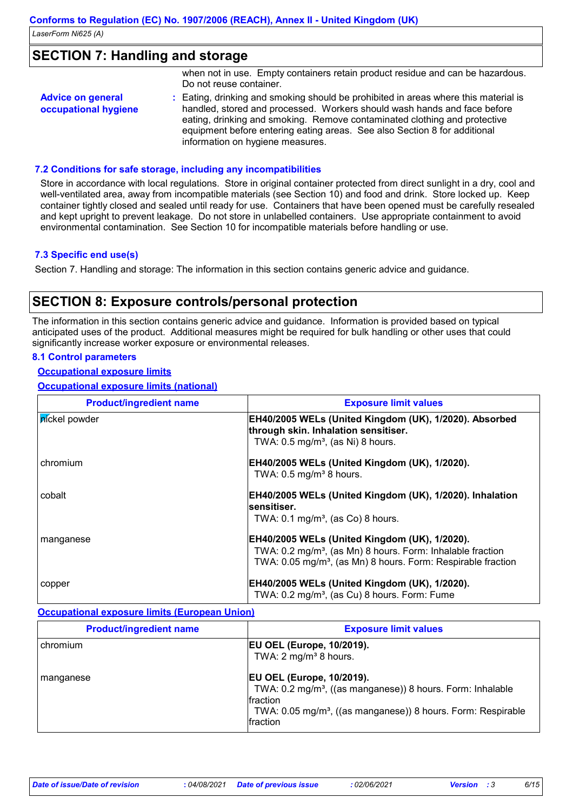### **SECTION 7: Handling and storage**

|                                                  | when not in use. Empty containers retain product residue and can be hazardous.<br>Do not reuse container.                                                                                                                                                                                                                                                     |
|--------------------------------------------------|---------------------------------------------------------------------------------------------------------------------------------------------------------------------------------------------------------------------------------------------------------------------------------------------------------------------------------------------------------------|
| <b>Advice on general</b><br>occupational hygiene | : Eating, drinking and smoking should be prohibited in areas where this material is<br>handled, stored and processed. Workers should wash hands and face before<br>eating, drinking and smoking. Remove contaminated clothing and protective<br>equipment before entering eating areas. See also Section 8 for additional<br>information on hygiene measures. |

#### **7.2 Conditions for safe storage, including any incompatibilities**

Store in accordance with local regulations. Store in original container protected from direct sunlight in a dry, cool and well-ventilated area, away from incompatible materials (see Section 10) and food and drink. Store locked up. Keep container tightly closed and sealed until ready for use. Containers that have been opened must be carefully resealed and kept upright to prevent leakage. Do not store in unlabelled containers. Use appropriate containment to avoid environmental contamination. See Section 10 for incompatible materials before handling or use.

#### **7.3 Specific end use(s)**

Section 7. Handling and storage: The information in this section contains generic advice and guidance.

### **SECTION 8: Exposure controls/personal protection**

The information in this section contains generic advice and guidance. Information is provided based on typical anticipated uses of the product. Additional measures might be required for bulk handling or other uses that could significantly increase worker exposure or environmental releases.

#### **8.1 Control parameters**

#### **Occupational exposure limits**

**Occupational exposure limits (national)**

| <b>Product/ingredient name</b> | <b>Exposure limit values</b>                                                                   |
|--------------------------------|------------------------------------------------------------------------------------------------|
| <i>n</i> íckel powder          | EH40/2005 WELs (United Kingdom (UK), 1/2020). Absorbed<br>through skin. Inhalation sensitiser. |
|                                | TWA: $0.5 \text{ mg/m}^3$ , (as Ni) 8 hours.                                                   |
| chromium                       | EH40/2005 WELs (United Kingdom (UK), 1/2020).                                                  |
|                                | TWA: $0.5$ mg/m <sup>3</sup> 8 hours.                                                          |
| cobalt                         | EH40/2005 WELs (United Kingdom (UK), 1/2020). Inhalation<br><b>sensitiser.</b>                 |
|                                | TWA: $0.1 \text{ mg/m}^3$ , (as Co) 8 hours.                                                   |
| manganese                      | <b>EH40/2005 WELs (United Kingdom (UK), 1/2020).</b>                                           |
|                                | TWA: 0.2 mg/m <sup>3</sup> , (as Mn) 8 hours. Form: Inhalable fraction                         |
|                                | TWA: 0.05 mg/m <sup>3</sup> , (as Mn) 8 hours. Form: Respirable fraction                       |
| copper                         | <b>EH40/2005 WELs (United Kingdom (UK), 1/2020).</b>                                           |
|                                | TWA: 0.2 mg/m <sup>3</sup> , (as Cu) 8 hours. Form: Fume                                       |

#### **Occupational exposure limits (European Union)**

| <b>Product/ingredient name</b> | <b>Exposure limit values</b>                                                                                                                                                                                    |
|--------------------------------|-----------------------------------------------------------------------------------------------------------------------------------------------------------------------------------------------------------------|
| l chromium                     | <b>EU OEL (Europe, 10/2019).</b><br>TWA: $2 \text{ mg/m}^3$ 8 hours.                                                                                                                                            |
| l manganese                    | <b>EU OEL (Europe, 10/2019).</b><br>TWA: 0.2 mg/m <sup>3</sup> , ((as manganese)) 8 hours. Form: Inhalable<br>fraction<br>TWA: 0.05 mg/m <sup>3</sup> , ((as manganese)) 8 hours. Form: Respirable<br>Ifraction |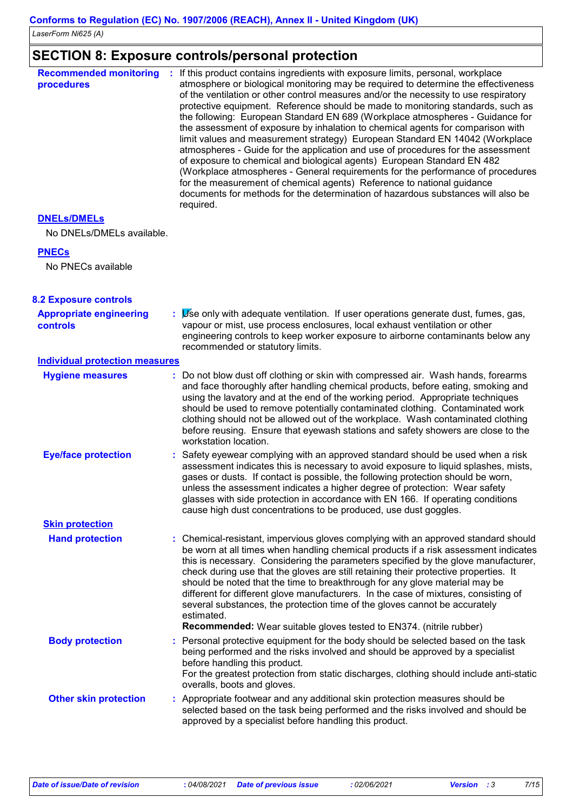### **SECTION 8: Exposure controls/personal protection**

| <b>Recommended monitoring</b><br>procedures | If this product contains ingredients with exposure limits, personal, workplace<br><b>ST</b><br>atmosphere or biological monitoring may be required to determine the effectiveness<br>of the ventilation or other control measures and/or the necessity to use respiratory<br>protective equipment. Reference should be made to monitoring standards, such as<br>the following: European Standard EN 689 (Workplace atmospheres - Guidance for<br>the assessment of exposure by inhalation to chemical agents for comparison with<br>limit values and measurement strategy) European Standard EN 14042 (Workplace<br>atmospheres - Guide for the application and use of procedures for the assessment<br>of exposure to chemical and biological agents) European Standard EN 482<br>(Workplace atmospheres - General requirements for the performance of procedures<br>for the measurement of chemical agents) Reference to national guidance<br>documents for methods for the determination of hazardous substances will also be<br>required. |
|---------------------------------------------|-----------------------------------------------------------------------------------------------------------------------------------------------------------------------------------------------------------------------------------------------------------------------------------------------------------------------------------------------------------------------------------------------------------------------------------------------------------------------------------------------------------------------------------------------------------------------------------------------------------------------------------------------------------------------------------------------------------------------------------------------------------------------------------------------------------------------------------------------------------------------------------------------------------------------------------------------------------------------------------------------------------------------------------------------|
|---------------------------------------------|-----------------------------------------------------------------------------------------------------------------------------------------------------------------------------------------------------------------------------------------------------------------------------------------------------------------------------------------------------------------------------------------------------------------------------------------------------------------------------------------------------------------------------------------------------------------------------------------------------------------------------------------------------------------------------------------------------------------------------------------------------------------------------------------------------------------------------------------------------------------------------------------------------------------------------------------------------------------------------------------------------------------------------------------------|

### **DNELs/DMELs**

No DNELs/DMELs available.

#### **PNECs**

No PNECs available

#### **8.2 Exposure controls**

| <b>Appropriate engineering</b><br><b>controls</b> | Use only with adequate ventilation. If user operations generate dust, fumes, gas,<br>vapour or mist, use process enclosures, local exhaust ventilation or other<br>engineering controls to keep worker exposure to airborne contaminants below any<br>recommended or statutory limits.                                                                                                                                                                                                                                                                                                                                    |
|---------------------------------------------------|---------------------------------------------------------------------------------------------------------------------------------------------------------------------------------------------------------------------------------------------------------------------------------------------------------------------------------------------------------------------------------------------------------------------------------------------------------------------------------------------------------------------------------------------------------------------------------------------------------------------------|
| <b>Individual protection measures</b>             |                                                                                                                                                                                                                                                                                                                                                                                                                                                                                                                                                                                                                           |
| <b>Hygiene measures</b>                           | Do not blow dust off clothing or skin with compressed air. Wash hands, forearms<br>and face thoroughly after handling chemical products, before eating, smoking and<br>using the lavatory and at the end of the working period. Appropriate techniques<br>should be used to remove potentially contaminated clothing. Contaminated work<br>clothing should not be allowed out of the workplace. Wash contaminated clothing<br>before reusing. Ensure that eyewash stations and safety showers are close to the<br>workstation location.                                                                                   |
| <b>Eye/face protection</b>                        | Safety eyewear complying with an approved standard should be used when a risk<br>assessment indicates this is necessary to avoid exposure to liquid splashes, mists,<br>gases or dusts. If contact is possible, the following protection should be worn,<br>unless the assessment indicates a higher degree of protection: Wear safety<br>glasses with side protection in accordance with EN 166. If operating conditions<br>cause high dust concentrations to be produced, use dust goggles.                                                                                                                             |
| <b>Skin protection</b>                            |                                                                                                                                                                                                                                                                                                                                                                                                                                                                                                                                                                                                                           |
| <b>Hand protection</b>                            | : Chemical-resistant, impervious gloves complying with an approved standard should<br>be worn at all times when handling chemical products if a risk assessment indicates<br>this is necessary. Considering the parameters specified by the glove manufacturer,<br>check during use that the gloves are still retaining their protective properties. It<br>should be noted that the time to breakthrough for any glove material may be<br>different for different glove manufacturers. In the case of mixtures, consisting of<br>several substances, the protection time of the gloves cannot be accurately<br>estimated. |
|                                                   | <b>Recommended:</b> Wear suitable gloves tested to EN374. (nitrile rubber)                                                                                                                                                                                                                                                                                                                                                                                                                                                                                                                                                |
| <b>Body protection</b>                            | Personal protective equipment for the body should be selected based on the task<br>being performed and the risks involved and should be approved by a specialist<br>before handling this product.<br>For the greatest protection from static discharges, clothing should include anti-static<br>overalls, boots and gloves.                                                                                                                                                                                                                                                                                               |
| <b>Other skin protection</b>                      | : Appropriate footwear and any additional skin protection measures should be<br>selected based on the task being performed and the risks involved and should be<br>approved by a specialist before handling this product.                                                                                                                                                                                                                                                                                                                                                                                                 |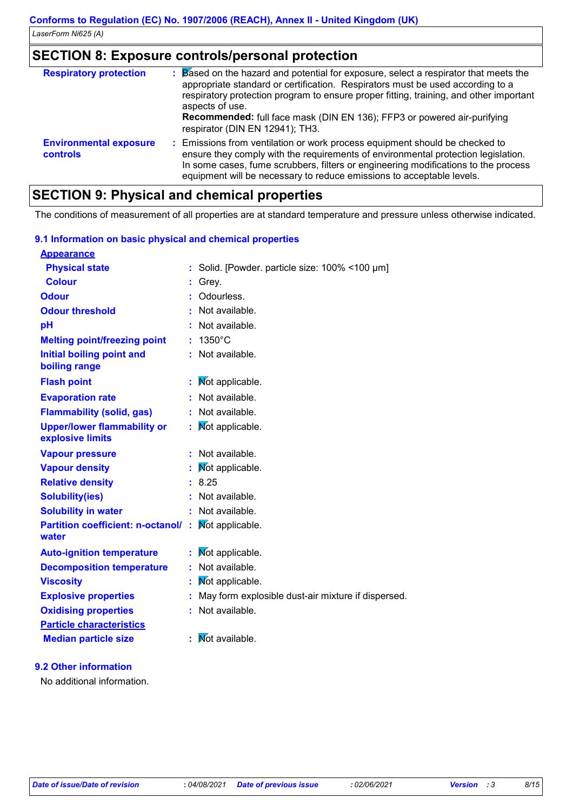### **SECTION 8: Exposure controls/personal protection**

| <b>Respiratory protection</b>                    | Based on the hazard and potential for exposure, select a respirator that meets the<br>appropriate standard or certification. Respirators must be used according to a<br>respiratory protection program to ensure proper fitting, training, and other important<br>aspects of use.<br><b>Recommended:</b> full face mask (DIN EN 136); FFP3 or powered air-purifying<br>respirator (DIN EN 12941); TH3. |
|--------------------------------------------------|--------------------------------------------------------------------------------------------------------------------------------------------------------------------------------------------------------------------------------------------------------------------------------------------------------------------------------------------------------------------------------------------------------|
| <b>Environmental exposure</b><br><b>controls</b> | : Emissions from ventilation or work process equipment should be checked to<br>ensure they comply with the requirements of environmental protection legislation.<br>In some cases, fume scrubbers, filters or engineering modifications to the process<br>equipment will be necessary to reduce emissions to acceptable levels.                                                                        |

### **SECTION 9: Physical and chemical properties**

The conditions of measurement of all properties are at standard temperature and pressure unless otherwise indicated.

| 9.1 Information on basic physical and chemical properties |    |                                                    |
|-----------------------------------------------------------|----|----------------------------------------------------|
| <b>Appearance</b>                                         |    |                                                    |
| <b>Physical state</b>                                     |    | : Solid. [Powder. particle size: 100% <100 µm]     |
| <b>Colour</b>                                             | t. | Grey.                                              |
| Odour                                                     |    | : Odourless.                                       |
| <b>Odour threshold</b>                                    |    | Not available.                                     |
| pH                                                        |    | Not available.                                     |
| <b>Melting point/freezing point</b>                       |    | 1350°C                                             |
| <b>Initial boiling point and</b><br>boiling range         |    | Not available.                                     |
| <b>Flash point</b>                                        |    | <b>Not applicable.</b>                             |
| <b>Evaporation rate</b>                                   |    | Not available.                                     |
| <b>Flammability (solid, gas)</b>                          |    | Not available.                                     |
| <b>Upper/lower flammability or</b><br>explosive limits    |    | Mot applicable.                                    |
| <b>Vapour pressure</b>                                    |    | : Not available.                                   |
| <b>Vapour density</b>                                     |    | Mot applicable.                                    |
| <b>Relative density</b>                                   | ÷. | 8.25                                               |
| <b>Solubility(ies)</b>                                    |    | Not available.                                     |
| <b>Solubility in water</b>                                | ٠. | Not available.                                     |
| <b>Partition coefficient: n-octanol/</b><br>water         | ÷. | Mot applicable.                                    |
| <b>Auto-ignition temperature</b>                          |    | Mot applicable.                                    |
| <b>Decomposition temperature</b>                          |    | Not available.                                     |
| <b>Viscosity</b>                                          |    | Mot applicable.                                    |
| <b>Explosive properties</b>                               |    | May form explosible dust-air mixture if dispersed. |
| <b>Oxidising properties</b>                               |    | Not available.                                     |
| <b>Particle characteristics</b>                           |    |                                                    |
| <b>Median particle size</b>                               |    | <b>Not available.</b>                              |
|                                                           |    |                                                    |

### **9.2 Other information**

No additional information.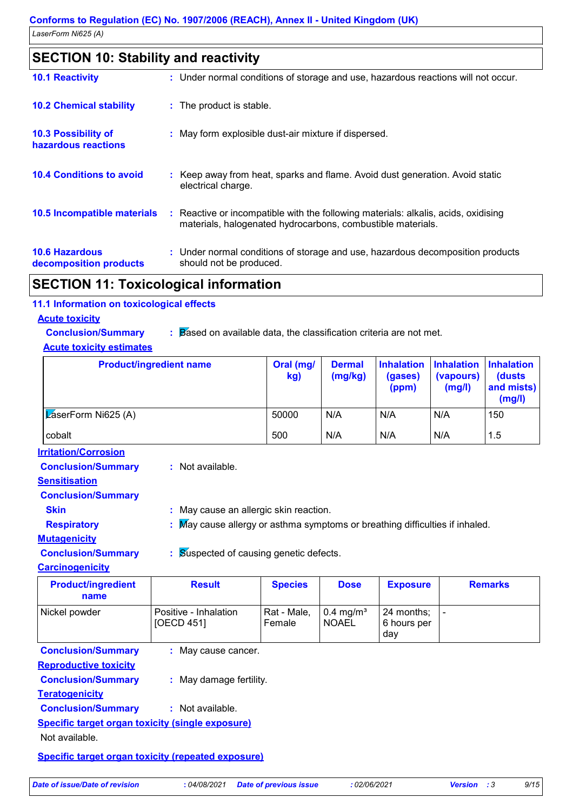| <b>SECTION 10: Stability and reactivity</b>       |                                                                                                                                                   |
|---------------------------------------------------|---------------------------------------------------------------------------------------------------------------------------------------------------|
| <b>10.1 Reactivity</b>                            | : Under normal conditions of storage and use, hazardous reactions will not occur.                                                                 |
| <b>10.2 Chemical stability</b>                    | : The product is stable.                                                                                                                          |
| <b>10.3 Possibility of</b><br>hazardous reactions | : May form explosible dust-air mixture if dispersed.                                                                                              |
| <b>10.4 Conditions to avoid</b>                   | : Keep away from heat, sparks and flame. Avoid dust generation. Avoid static<br>electrical charge.                                                |
| 10.5 Incompatible materials                       | : Reactive or incompatible with the following materials: alkalis, acids, oxidising<br>materials, halogenated hydrocarbons, combustible materials. |
| <b>10.6 Hazardous</b><br>decomposition products   | : Under normal conditions of storage and use, hazardous decomposition products<br>should not be produced.                                         |
| SECTION 11: Toxicological information             |                                                                                                                                                   |

### **SECTION 11: Toxicological information**

#### **11.1 Information on toxicological effects**

**Acute toxicity**

**Conclusion/Summary : Based on available data, the classification criteria are not met.** 

### **Acute toxicity estimates**

| <b>Product/ingredient name</b>    |                                                                            | Oral (mg/<br>kg)      | <b>Dermal</b><br>(mg/kg)                | <b>Inhalation</b><br>(gases)<br>(ppm) | <b>Inhalation</b><br>(vapours)<br>(mg/l) | <b>Inhalation</b><br>(dusts<br>and mists)<br>(mg/l) |
|-----------------------------------|----------------------------------------------------------------------------|-----------------------|-----------------------------------------|---------------------------------------|------------------------------------------|-----------------------------------------------------|
| ZaserForm Ni625 (A)               | 50000                                                                      | N/A                   | N/A                                     | N/A                                   | 150                                      |                                                     |
| cobalt                            |                                                                            | 500                   | N/A                                     | N/A                                   | N/A                                      | 1.5                                                 |
| <b>Irritation/Corrosion</b>       |                                                                            |                       |                                         |                                       |                                          |                                                     |
| <b>Conclusion/Summary</b>         | : Not available.                                                           |                       |                                         |                                       |                                          |                                                     |
| <b>Sensitisation</b>              |                                                                            |                       |                                         |                                       |                                          |                                                     |
| <b>Conclusion/Summary</b>         |                                                                            |                       |                                         |                                       |                                          |                                                     |
| <b>Skin</b>                       | : May cause an allergic skin reaction.                                     |                       |                                         |                                       |                                          |                                                     |
| <b>Respiratory</b>                | May cause allergy or asthma symptoms or breathing difficulties if inhaled. |                       |                                         |                                       |                                          |                                                     |
| <b>Mutagenicity</b>               |                                                                            |                       |                                         |                                       |                                          |                                                     |
| <b>Conclusion/Summary</b>         | Suspected of causing genetic defects.<br>ŧ.                                |                       |                                         |                                       |                                          |                                                     |
| <b>Carcinogenicity</b>            |                                                                            |                       |                                         |                                       |                                          |                                                     |
| <b>Product/ingredient</b><br>name | <b>Result</b>                                                              | <b>Species</b>        | <b>Dose</b>                             | <b>Exposure</b>                       |                                          | <b>Remarks</b>                                      |
| Nickel powder                     | Positive - Inhalation<br>[OECD 451]                                        | Rat - Male,<br>Female | $0.4$ mg/m <sup>3</sup><br><b>NOAEL</b> | 24 months;<br>6 hours per<br>day      | $\blacksquare$                           |                                                     |
| <b>Conclusion/Summary</b>         | : May cause cancer.                                                        |                       |                                         |                                       |                                          |                                                     |
| <b>Reproductive toxicity</b>      |                                                                            |                       |                                         |                                       |                                          |                                                     |
| <b>Conclusion/Summary</b>         | : May damage fertility.                                                    |                       |                                         |                                       |                                          |                                                     |
| <b>Teratogenicity</b>             |                                                                            |                       |                                         |                                       |                                          |                                                     |
| <b>Conclusion/Summary</b>         | : Not available.                                                           |                       |                                         |                                       |                                          |                                                     |
|                                   | <b>Specific target organ toxicity (single exposure)</b>                    |                       |                                         |                                       |                                          |                                                     |
| Not available.                    |                                                                            |                       |                                         |                                       |                                          |                                                     |
|                                   |                                                                            |                       |                                         |                                       |                                          |                                                     |

**Specific target organ toxicity (repeated exposure)**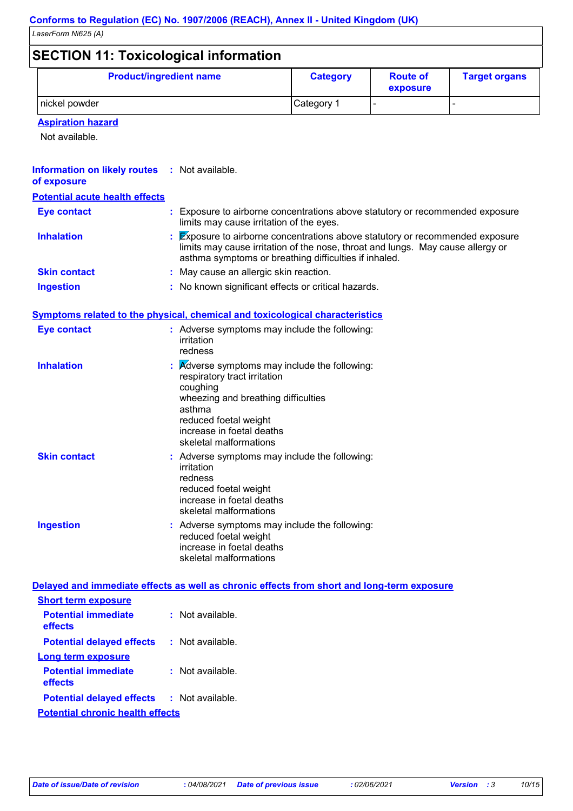*LaserForm Ni625 (A)*

### **SECTION 11: Toxicological information**

| <b>SECTION TI. TOXICOIOGICALITIOHIMATION</b> |                 |                             |                      |
|----------------------------------------------|-----------------|-----------------------------|----------------------|
| <b>Product/ingredient name</b>               | <b>Category</b> | <b>Route of</b><br>exposure | <b>Target organs</b> |
| I nickel powder                              | Category 1      |                             |                      |

### **Aspiration hazard**

Not available.

#### **Information on likely routes : Not available. of exposure**

| <b>Potential acute health effects</b> |                                                                                                                                                                                                                         |
|---------------------------------------|-------------------------------------------------------------------------------------------------------------------------------------------------------------------------------------------------------------------------|
| <b>Eye contact</b>                    | : Exposure to airborne concentrations above statutory or recommended exposure<br>limits may cause irritation of the eyes.                                                                                               |
| <b>Inhalation</b>                     | Exposure to airborne concentrations above statutory or recommended exposure<br>limits may cause irritation of the nose, throat and lungs. May cause allergy or<br>asthma symptoms or breathing difficulties if inhaled. |
| <b>Skin contact</b>                   | : May cause an allergic skin reaction.                                                                                                                                                                                  |
| <b>Ingestion</b>                      | : No known significant effects or critical hazards.                                                                                                                                                                     |

### **Symptoms related to the physical, chemical and toxicological characteristics**

| Eye contact         | : Adverse symptoms may include the following:<br>irritation<br>redness                                                                                                                                                                       |
|---------------------|----------------------------------------------------------------------------------------------------------------------------------------------------------------------------------------------------------------------------------------------|
| <b>Inhalation</b>   | $\mathbf{R}$ <i>Adverse symptoms may include the following:</i><br>respiratory tract irritation<br>coughing<br>wheezing and breathing difficulties<br>asthma<br>reduced foetal weight<br>increase in foetal deaths<br>skeletal malformations |
| <b>Skin contact</b> | : Adverse symptoms may include the following:<br>irritation<br>redness<br>reduced foetal weight<br>increase in foetal deaths<br>skeletal malformations                                                                                       |
| <b>Ingestion</b>    | : Adverse symptoms may include the following:<br>reduced foetal weight<br>increase in foetal deaths<br>skeletal malformations                                                                                                                |

### **Delayed and immediate effects as well as chronic effects from short and long-term exposure**

| <b>Short term exposure</b>              |  |                    |  |  |
|-----------------------------------------|--|--------------------|--|--|
| <b>Potential immediate</b><br>effects   |  | $:$ Not available. |  |  |
| <b>Potential delayed effects</b>        |  | $:$ Not available. |  |  |
| Long term exposure                      |  |                    |  |  |
| <b>Potential immediate</b><br>effects   |  | Not available      |  |  |
| <b>Potential delayed effects</b>        |  | : Not available.   |  |  |
| <b>Potential chronic health effects</b> |  |                    |  |  |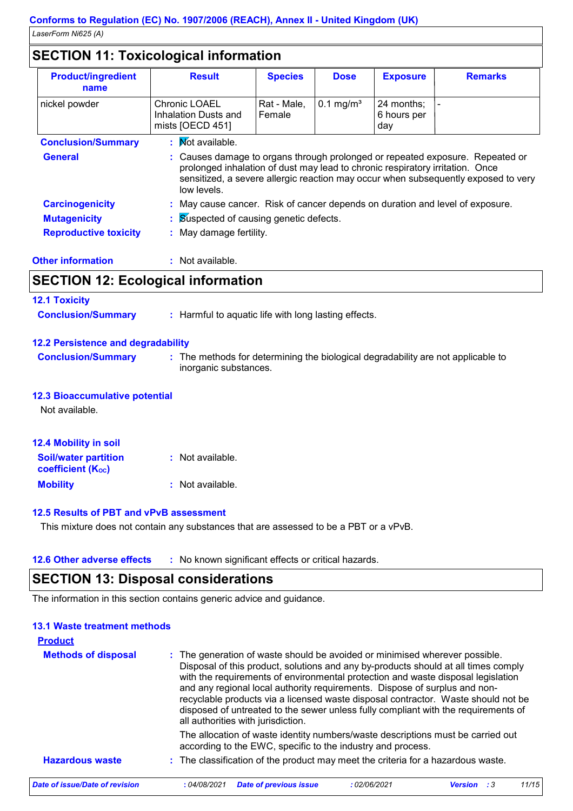### **SECTION 11: Toxicological information**

| <b>Product/ingredient</b><br>name | <b>Result</b>                                                                                                                                                                                                                                                       | <b>Species</b>        | <b>Dose</b>          | <b>Exposure</b>                  | <b>Remarks</b> |
|-----------------------------------|---------------------------------------------------------------------------------------------------------------------------------------------------------------------------------------------------------------------------------------------------------------------|-----------------------|----------------------|----------------------------------|----------------|
| nickel powder                     | <b>Chronic LOAEL</b><br>Inhalation Dusts and<br>mists [OECD 451]                                                                                                                                                                                                    | Rat - Male,<br>Female | $0.1 \text{ mg/m}^3$ | 24 months:<br>6 hours per<br>day |                |
| <b>Conclusion/Summary</b>         | : Mot available.                                                                                                                                                                                                                                                    |                       |                      |                                  |                |
| <b>General</b>                    | : Causes damage to organs through prolonged or repeated exposure. Repeated or<br>prolonged inhalation of dust may lead to chronic respiratory irritation. Once<br>sensitized, a severe allergic reaction may occur when subsequently exposed to very<br>low levels. |                       |                      |                                  |                |
| <b>Carcinogenicity</b>            | : May cause cancer. Risk of cancer depends on duration and level of exposure.                                                                                                                                                                                       |                       |                      |                                  |                |
| <b>Mutagenicity</b>               | <b>Suspected of causing genetic defects.</b>                                                                                                                                                                                                                        |                       |                      |                                  |                |
| <b>Reproductive toxicity</b>      | May damage fertility.<br>÷                                                                                                                                                                                                                                          |                       |                      |                                  |                |

| <b>Other information</b> |  |  |
|--------------------------|--|--|
|                          |  |  |

**outcher information information information information information information information information** 

### **SECTION 12: Ecological information**

| <b>12.1 Toxicity</b>                      |                                                                                                           |
|-------------------------------------------|-----------------------------------------------------------------------------------------------------------|
| <b>Conclusion/Summary</b>                 | : Harmful to aquatic life with long lasting effects.                                                      |
| <b>12.2 Persistence and degradability</b> |                                                                                                           |
| <b>Conclusion/Summary</b>                 | : The methods for determining the biological degradability are not applicable to<br>inorganic substances. |
| <b>12.3 Bioaccumulative potential</b>     |                                                                                                           |
| Not available.                            |                                                                                                           |
| <b>12.4 Mobility in soil</b>              |                                                                                                           |

| <b>Soil/water partition</b><br><b>coefficient (Koc)</b> | : Not available. |
|---------------------------------------------------------|------------------|
| <b>Mobility</b>                                         | : Not available. |

#### **12.5 Results of PBT and vPvB assessment**

This mixture does not contain any substances that are assessed to be a PBT or a vPvB.

**12.6 Other adverse effects** : No known significant effects or critical hazards.

### **SECTION 13: Disposal considerations**

The information in this section contains generic advice and guidance.

#### **13.1 Waste treatment methods**

| <b>Product</b>                 |                                                                                                                                                                                                                                                                                                                                                                                                                                                                                                                                                      |
|--------------------------------|------------------------------------------------------------------------------------------------------------------------------------------------------------------------------------------------------------------------------------------------------------------------------------------------------------------------------------------------------------------------------------------------------------------------------------------------------------------------------------------------------------------------------------------------------|
| <b>Methods of disposal</b>     | : The generation of waste should be avoided or minimised wherever possible.<br>Disposal of this product, solutions and any by-products should at all times comply<br>with the requirements of environmental protection and waste disposal legislation<br>and any regional local authority requirements. Dispose of surplus and non-<br>recyclable products via a licensed waste disposal contractor. Waste should not be<br>disposed of untreated to the sewer unless fully compliant with the requirements of<br>all authorities with jurisdiction. |
|                                | The allocation of waste identity numbers/waste descriptions must be carried out<br>according to the EWC, specific to the industry and process.                                                                                                                                                                                                                                                                                                                                                                                                       |
| <b>Hazardous waste</b>         | : The classification of the product may meet the criteria for a hazardous waste.                                                                                                                                                                                                                                                                                                                                                                                                                                                                     |
| Date of issue/Date of revision | <b>Date of previous issue</b><br>11/15<br>:04/08/2021<br>: 02/06/2021<br><b>Version</b> :3                                                                                                                                                                                                                                                                                                                                                                                                                                                           |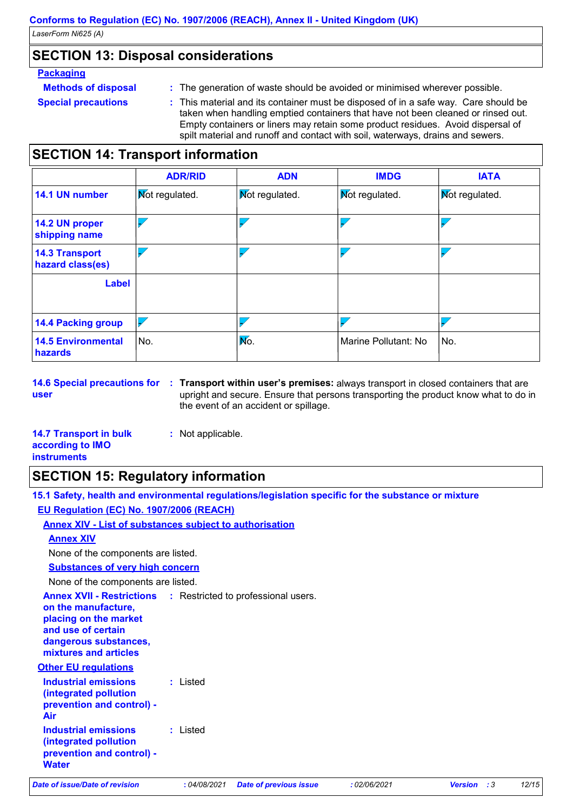### **SECTION 13: Disposal considerations**

#### **Packaging**

**Methods of disposal :**

- **Special precautions :**
- The generation of waste should be avoided or minimised wherever possible.
- This material and its container must be disposed of in a safe way. Care should be taken when handling emptied containers that have not been cleaned or rinsed out. Empty containers or liners may retain some product residues. Avoid dispersal of spilt material and runoff and contact with soil, waterways, drains and sewers.

### **SECTION 14: Transport information**

|                                           | <b>ADR/RID</b>        | <b>ADN</b>     | <b>IMDG</b>           | <b>IATA</b>           |
|-------------------------------------------|-----------------------|----------------|-----------------------|-----------------------|
| 14.1 UN number                            | <b>Not regulated.</b> | Mot regulated. | <b>Not regulated.</b> | <b>Mot regulated.</b> |
| 14.2 UN proper<br>shipping name           |                       |                |                       |                       |
| <b>14.3 Transport</b><br>hazard class(es) |                       |                |                       |                       |
| <b>Label</b>                              |                       |                |                       |                       |
| <b>14.4 Packing group</b>                 |                       |                |                       |                       |
| <b>14.5 Environmental</b><br>hazards      | No.                   | Mo.            | Marine Pollutant: No  | No.                   |

**14.6 Special precautions for Transport within user's premises:** always transport in closed containers that are **: user** upright and secure. Ensure that persons transporting the product know what to do in the event of an accident or spillage.

| <b>14.7 Transport in bulk</b> | : Not applicable. |
|-------------------------------|-------------------|
| according to IMO              |                   |
| <b>instruments</b>            |                   |

### **SECTION 15: Regulatory information**

**15.1 Safety, health and environmental regulations/legislation specific for the substance or mixture EU Regulation (EC) No. 1907/2006 (REACH)**

**Annex XIV - List of substances subject to authorisation**

| Air                                                                  |          |  |
|----------------------------------------------------------------------|----------|--|
| <b>Industrial emissions</b><br>(integrated pollution                 | : Listed |  |
|                                                                      |          |  |
| (integrated pollution<br>prevention and control) -                   |          |  |
| <b>Industrial emissions</b>                                          | : Listed |  |
| <b>Other EU regulations</b>                                          |          |  |
| and use of certain<br>dangerous substances,<br>mixtures and articles |          |  |
| on the manufacture,<br>placing on the market                         |          |  |
| <b>Annex XVII - Restrictions : Restricted to professional users.</b> |          |  |
| None of the components are listed.                                   |          |  |
| <b>Substances of very high concern</b>                               |          |  |
| None of the components are listed.                                   |          |  |
|                                                                      |          |  |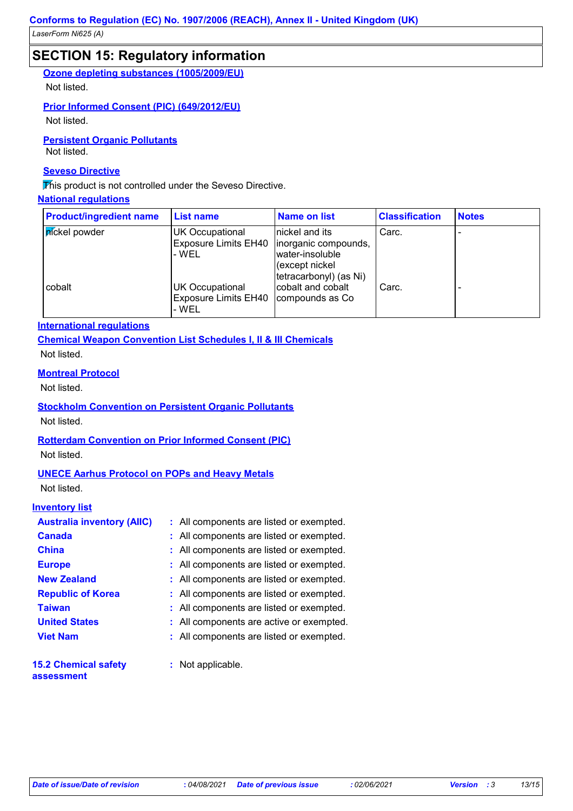### **SECTION 15: Regulatory information**

**Ozone depleting substances (1005/2009/EU)**

Not listed.

#### **Prior Informed Consent (PIC) (649/2012/EU)**

Not listed.

**Persistent Organic Pollutants**

Not listed.

#### **Seveso Directive**

This product is not controlled under the Seveso Directive.

### **National regulations**

| <b>Product/ingredient name</b> | <b>List name</b>                                               | Name on list                                                                                            | <b>Classification</b> | <b>Notes</b> |
|--------------------------------|----------------------------------------------------------------|---------------------------------------------------------------------------------------------------------|-----------------------|--------------|
| <b>n</b> ickel powder          | UK Occupational<br><b>Exposure Limits EH40</b><br>- WEL        | nickel and its<br>linorganic compounds,<br>water-insoluble<br>(except nickel)<br>tetracarbonyl) (as Ni) | Carc.                 |              |
| cobalt                         | <b>UK Occupational</b><br><b>Exposure Limits EH40</b><br>- WEL | cobalt and cobalt<br>compounds as Co                                                                    | Carc.                 |              |

#### **International regulations**

**Chemical Weapon Convention List Schedules I, II & III Chemicals** Not listed.

#### **Montreal Protocol**

Not listed.

#### **Stockholm Convention on Persistent Organic Pollutants** Not listed.

### **Rotterdam Convention on Prior Informed Consent (PIC)**

Not listed.

#### **UNECE Aarhus Protocol on POPs and Heavy Metals**

Not listed.

#### **Inventory list**

| <b>Australia inventory (AIIC)</b> | : All components are listed or exempted. |
|-----------------------------------|------------------------------------------|
| <b>Canada</b>                     | : All components are listed or exempted. |
| <b>China</b>                      | : All components are listed or exempted. |
| <b>Europe</b>                     | : All components are listed or exempted. |
| <b>New Zealand</b>                | : All components are listed or exempted. |
| <b>Republic of Korea</b>          | : All components are listed or exempted. |
| <b>Taiwan</b>                     | : All components are listed or exempted. |
| <b>United States</b>              | : All components are active or exempted. |
| <b>Viet Nam</b>                   | : All components are listed or exempted. |
| <b>15.2 Chemical safety</b>       | : Not applicable.                        |

#### **assessment**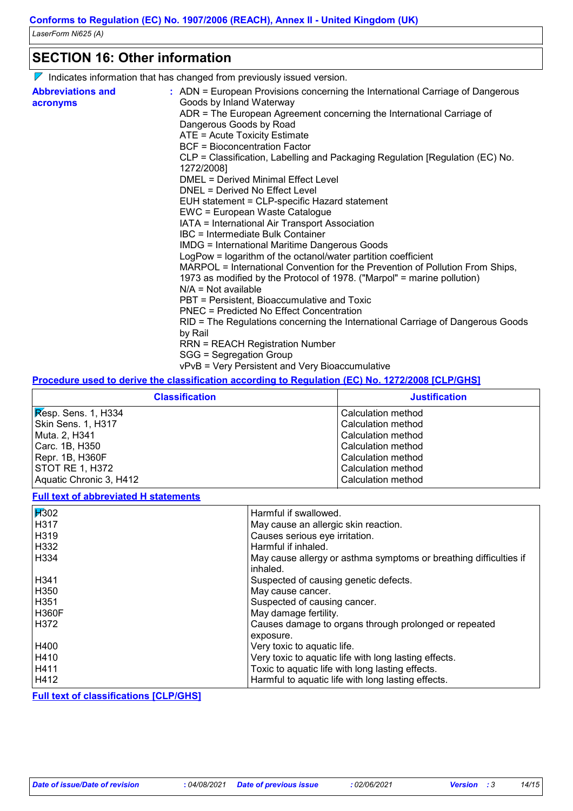### **SECTION 16: Other information**

 $\nabla$  Indicates information that has changed from previously issued version.

| <b>Abbreviations and</b> | : ADN = European Provisions concerning the International Carriage of Dangerous |
|--------------------------|--------------------------------------------------------------------------------|
| acronyms                 | Goods by Inland Waterway                                                       |
|                          | ADR = The European Agreement concerning the International Carriage of          |
|                          | Dangerous Goods by Road                                                        |
|                          | ATE = Acute Toxicity Estimate                                                  |
|                          | <b>BCF</b> = Bioconcentration Factor                                           |
|                          | CLP = Classification, Labelling and Packaging Regulation [Regulation (EC) No.  |
|                          | 1272/2008]                                                                     |
|                          | <b>DMEL = Derived Minimal Effect Level</b>                                     |
|                          | DNEL = Derived No Effect Level                                                 |
|                          | EUH statement = CLP-specific Hazard statement                                  |
|                          | EWC = European Waste Catalogue                                                 |
|                          | IATA = International Air Transport Association                                 |
|                          | IBC = Intermediate Bulk Container                                              |
|                          | <b>IMDG = International Maritime Dangerous Goods</b>                           |
|                          | LogPow = logarithm of the octanol/water partition coefficient                  |
|                          | MARPOL = International Convention for the Prevention of Pollution From Ships,  |
|                          | 1973 as modified by the Protocol of 1978. ("Marpol" = marine pollution)        |
|                          | $N/A = Not available$                                                          |
|                          |                                                                                |
|                          | PBT = Persistent, Bioaccumulative and Toxic                                    |
|                          | PNEC = Predicted No Effect Concentration                                       |
|                          | RID = The Regulations concerning the International Carriage of Dangerous Goods |
|                          | by Rail                                                                        |
|                          | <b>RRN = REACH Registration Number</b>                                         |
|                          | SGG = Segregation Group                                                        |
|                          | vPvB = Very Persistent and Very Bioaccumulative                                |

#### **Procedure used to derive the classification according to Regulation (EC) No. 1272/2008 [CLP/GHS]**

| <b>Classification</b>                             | <b>Justification</b> |
|---------------------------------------------------|----------------------|
| $ $ $\overline{\mathsf{Res}}$ Pesp. Sens. 1, H334 | Calculation method   |
| Skin Sens. 1, H317                                | Calculation method   |
| Muta. 2, H341                                     | Calculation method   |
| Carc. 1B, H350                                    | Calculation method   |
| Repr. 1B, H360F                                   | Calculation method   |
| STOT RE 1, H372                                   | Calculation method   |
| Aquatic Chronic 3, H412                           | Calculation method   |

#### **Full text of abbreviated H statements**

| $\overline{14}302$ | Harmful if swallowed.                                             |
|--------------------|-------------------------------------------------------------------|
| H317               | May cause an allergic skin reaction.                              |
| H319               | Causes serious eye irritation.                                    |
| H332               | Harmful if inhaled.                                               |
| l H334             | May cause allergy or asthma symptoms or breathing difficulties if |
|                    | inhaled.                                                          |
| H341               | Suspected of causing genetic defects.                             |
| H350               | May cause cancer.                                                 |
| H351               | Suspected of causing cancer.                                      |
| <b>H360F</b>       | May damage fertility.                                             |
| H372               | Causes damage to organs through prolonged or repeated             |
|                    | exposure.                                                         |
| H400               | Very toxic to aquatic life.                                       |
| H410               | Very toxic to aquatic life with long lasting effects.             |
| H411               | Toxic to aquatic life with long lasting effects.                  |
| H412               | Harmful to aquatic life with long lasting effects.                |

**Full text of classifications [CLP/GHS]**